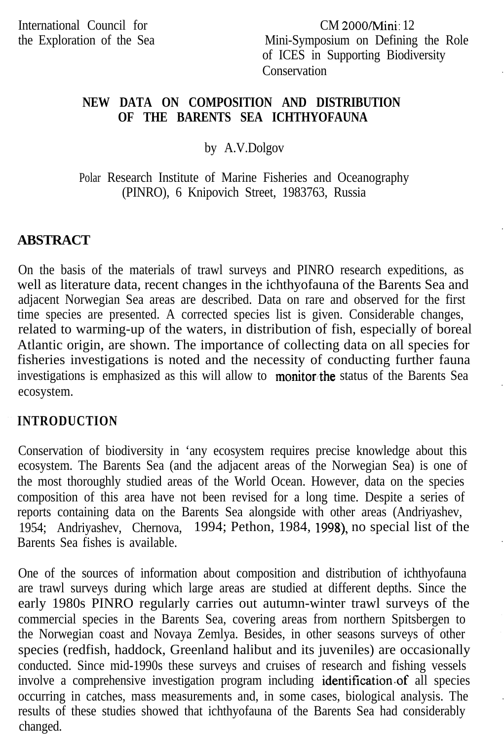CM 2000Mini: 12 Mini-Symposium on Defining the Role of ICES in Supporting Biodiversity Conservation

### **NEW DATA ON COMPOSITION AND DISTRIBUTION OF THE BARENTS SEA ICHTHYOFAUNA**

### by A.V.Dolgov

Polar Research Institute of Marine Fisheries and Oceanography (PINRO), 6 Knipovich Street, 1983763, Russia

# **ABSTRACT**

On the basis of the materials of trawl surveys and PINRO research expeditions, as well as literature data, recent changes in the ichthyofauna of the Barents Sea and adjacent Norwegian Sea areas are described. Data on rare and observed for the first time species are presented. A corrected species list is given. Considerable changes, related to warming-up of the waters, in distribution of fish, especially of boreal Atlantic origin, are shown. The importance of collecting data on all species for fisheries investigations is noted and the necessity of conducting further fauna investigations is emphasized as this will allow to monitor the status of the Barents Sea ecosystem.

#### **INTRODUCTION**

Conservation of biodiversity in 'any ecosystem requires precise knowledge about this ecosystem. The Barents Sea (and the adjacent areas of the Norwegian Sea) is one of the most thoroughly studied areas of the World Ocean. However, data on the species composition of this area have not been revised for a long time. Despite a series of reports containing data on the Barents Sea alongside with other areas (Andriyashev, 1954; Andriyashev, Chernova, 1994; Pethon, 1984, 1998), no special list of the Barents Sea fishes is available.

One of the sources of information about composition and distribution of ichthyofauna are trawl surveys during which large areas are studied at different depths. Since the early 1980s PINRO regularly carries out autumn-winter trawl surveys of the commercial species in the Barents Sea, covering areas from northern Spitsbergen to the Norwegian coast and Novaya Zemlya. Besides, in other seasons surveys of other species (redfish, haddock, Greenland halibut and its juveniles) are occasionally conducted. Since mid-1990s these surveys and cruises of research and fishing vessels involve a comprehensive investigation program including identification.of all species occurring in catches, mass measurements and, in some cases, biological analysis. The results of these studies showed that ichthyofauna of the Barents Sea had considerably changed.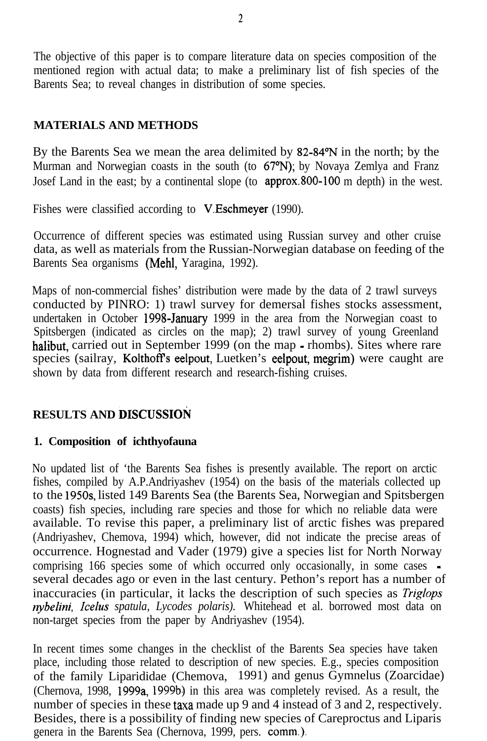The objective of this paper is to compare literature data on species composition of the mentioned region with actual data; to make a preliminary list of fish species of the Barents Sea; to reveal changes in distribution of some species.

# **MATERIALS AND METHODS**

By the Barents Sea we mean the area delimited by 82-84°N in the north; by the Murman and Norwegian coasts in the south (to  $67^{\circ}$ N); by Novaya Zemlya and Franz Josef Land in the east; by a continental slope (to approx.800-100 m depth) in the west.

Fishes were classified according to V.Eschmeyer (1990).

Occurrence of different species was estimated using Russian survey and other cruise data, as well as materials from the Russian-Norwegian database on feeding of the Barents Sea organisms (Mehl, Yaragina, 1992).

Maps of non-commercial fishes' distribution were made by the data of 2 trawl surveys conducted by PINRO: 1) trawl survey for demersal fishes stocks assessment, undertaken in October 1998-January 1999 in the area from the Norwegian coast to Spitsbergen (indicated as circles on the map); 2) trawl survey of young Greenland halibut, carried out in September 1999 (on the map - rhombs). Sites where rare species (sailray, Kolthoff's eelpout, Luetken's eelpout, megrim) were caught are shown by data from different research and research-fishing cruises.

# **RESULTS AND DISCUSSION**

## **1. Composition of ichthyofauna**

No updated list of 'the Barents Sea fishes is presently available. The report on arctic fishes, compiled by A.P.Andriyashev (1954) on the basis of the materials collected up to the 195Os, listed 149 Barents Sea (the Barents Sea, Norwegian and Spitsbergen coasts) fish species, including rare species and those for which no reliable data were available. To revise this paper, a preliminary list of arctic fishes was prepared (Andriyashev, Chemova, 1994) which, however, did not indicate the precise areas of occurrence. Hognestad and Vader (1979) give a species list for North Norway comprising 166 species some of which occurred only occasionally, in some cases several decades ago or even in the last century. Pethon's report has a number of inaccuracies (in particular, it lacks the description of such species as *Triglops nybelini, Icelus spatula, Lycodes polaris).* Whitehead et al. borrowed most data on non-target species from the paper by Andriyashev (1954).

In recent times some changes in the checklist of the Barents Sea species have taken place, including those related to description of new species. E.g., species composition of the family Liparididae (Chemova, 1991) and genus Gymnelus (Zoarcidae) (Chernova, 1998, 1999a, 1999b) in this area was completely revised. As a result, the number of species in these taxa made up 9 and 4 instead of 3 and 2, respectively. Besides, there is a possibility of finding new species of Careproctus and Liparis genera in the Barents Sea (Chernova, 1999, pers. comm.).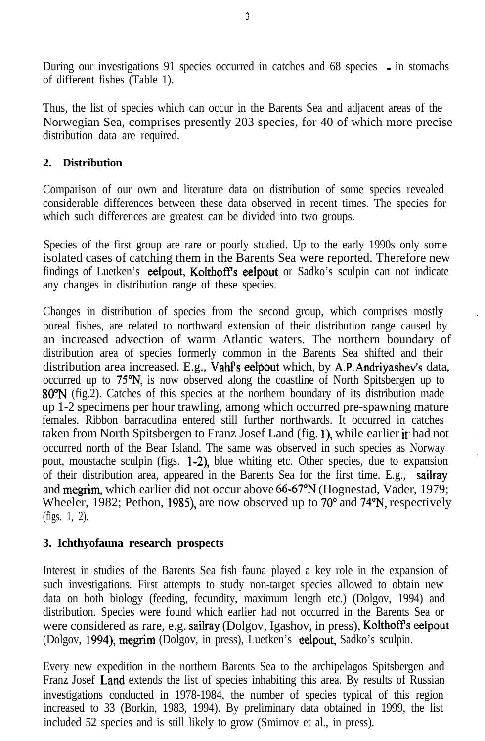During our investigations 91 species occurred in catches and 68 species - in stomachs of different fishes (Table 1).

Thus, the list of species which can occur in the Barents Sea and adjacent areas of the Norwegian Sea, comprises presently 203 species, for 40 of which more precise distribution data are required.

# **2. Distribution**

Comparison of our own and literature data on distribution of some species revealed considerable differences between these data observed in recent times. The species for which such differences are greatest can be divided into two groups.

Species of the first group are rare or poorly studied. Up to the early 1990s only some isolated cases of catching them in the Barents Sea were reported. Therefore new findings of Luetken's eelpout, Kolthoff's eelpout or Sadko's sculpin can not indicate any changes in distribution range of these species.

Changes in distribution of species from the second group, which comprises mostly boreal fishes, are related to northward extension of their distribution range caused by an increased advection of warm Atlantic waters. The northern boundary of distribution area of species formerly common in the Barents Sea shifted and their distribution area increased. E.g., Vahl's eelpout which, by A.P.Andriyashev's data, occurred up to 75"N, is now observed along the coastline of North Spitsbergen up to 8O"N (fig.2). Catches of this species at the northern boundary of its distribution made up 1-2 specimens per hour trawling, among which occurred pre-spawning mature females. Ribbon barracudina entered still further northwards. It occurred in catches taken from North Spitsbergen to Franz Josef Land (fig. 1), while earlier it had not occurred north of the Bear Island. The same was observed in such species as Norway pout, moustache sculpin (figs. l-2), blue whiting etc. Other species, due to expansion of their distribution area, appeared in the Barents Sea for the first time. E.g., sailray and megrim, which earlier did not occur above 66-67% (Hognestad, Vader, 1979; Wheeler, 1982; Pethon, 1985), are now observed up to  $70^{\circ}$  and  $74^{\circ}$ N, respectively (figs. 1, 2).

# **3. Ichthyofauna research prospects**

Interest in studies of the Barents Sea fish fauna played a key role in the expansion of such investigations. First attempts to study non-target species allowed to obtain new data on both biology (feeding, fecundity, maximum length etc.) (Dolgov, 1994) and distribution. Species were found which earlier had not occurred in the Barents Sea or were considered as rare, e.g. sailray (Dolgov, Igashov, in press), Kolthoff's eelpout (Dolgov, 1994), megrim (Dolgov, in press), Luetken's eelpout, Sadko's sculpin.

Every new expedition in the northern Barents Sea to the archipelagos Spitsbergen and Franz Josef Land extends the list of species inhabiting this area. By results of Russian investigations conducted in 1978-1984, the number of species typical of this region increased to 33 (Borkin, 1983, 1994). By preliminary data obtained in 1999, the list included 52 species and is still likely to grow (Smirnov et al., in press).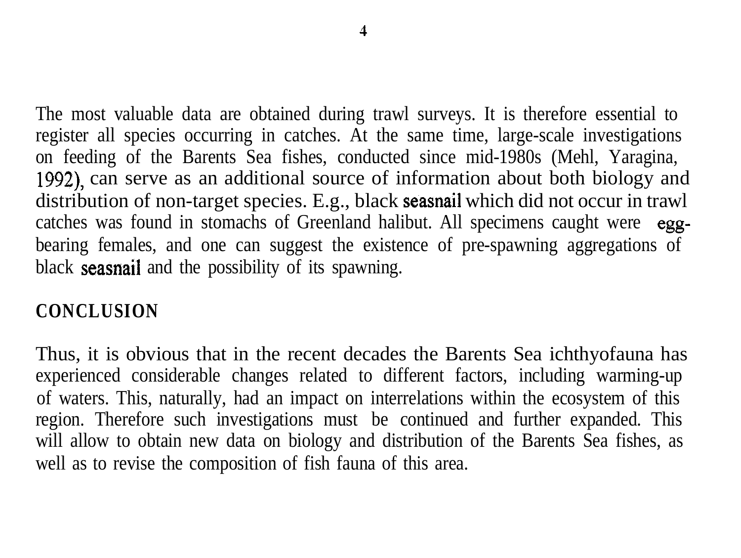The most valuable data are obtained during trawl surveys. It is therefore essential to register all species occurring in catches. At the same time, large-scale investigations on feeding of the Barents Sea fishes, conducted since mid-1980s (Mehl, Yaragina, 1992) can serve as an additional source of information about both biology and distribution of non-target species. E.g., black seasnail which did not occur in trawl catches was found in stomachs of Greenland halibut. All specimens caught were eggbearing females, and one can suggest the existence of pre-spawning aggregations of black seasnail and the possibility of its spawning.

# **CONCLUSION**

Thus, it is obvious that in the recent decades the Barents Sea ichthyofauna has experienced considerable changes related to different factors, including warming-up of waters. This, naturally, had an impact on interrelations within the ecosystem of this region. Therefore such investigations must be continued and further expanded. This will allow to obtain new data on biology and distribution of the Barents Sea fishes, as well as to revise the composition of fish fauna of this area.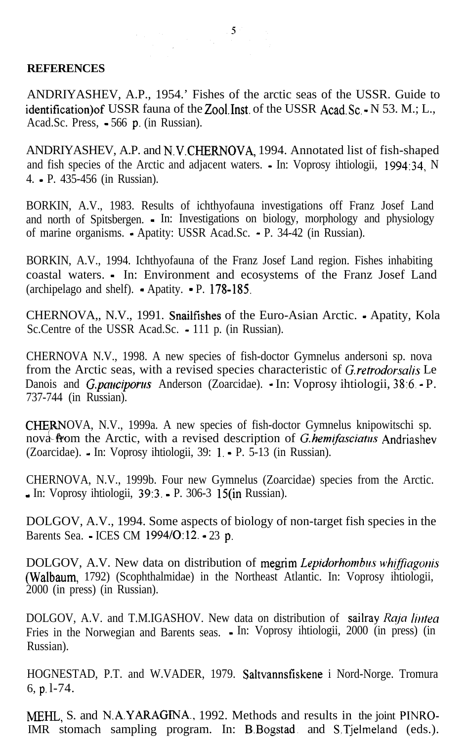#### **REFERENCES**

ANDRIYASHEV, A.P., 1954.' Fishes of the arctic seas of the USSR. Guide to identification) of USSR fauna of the Zool.Inst. of the USSR Acad.Sc. - N 53. M.; L., Acad.Sc. Press, - 566 p. (in Russian).

ANDRIYASHEV, A.P. and N.V.CHERNOVA, 1994. Annotated list of fish-shaped and fish species of the Arctic and adjacent waters. - In: Voprosy ihtiologii, 1994:34, N 4. - P. 435-456 (in Russian).

BORKIN, A.V., 1983. Results of ichthyofauna investigations off Franz Josef Land and north of Spitsbergen. - In: Investigations on biology, morphology and physiology of marine organisms. - Apatity: USSR Acad.Sc. - P. 34-42 (in Russian).

BORKIN, A.V., 1994. Ichthyofauna of the Franz Josef Land region. Fishes inhabiting coastal waters. - In: Environment and ecosystems of the Franz Josef Land (archipelago and shelf).  $\bullet$  Apatity.  $\bullet$  P. 178-185.

CHERNOVA,, N.V., 1991. Snailfishes of the Euro-Asian Arctic. - Apatity, Kola Sc.Centre of the USSR Acad.Sc. - 111 p. (in Russian).

CHERNOVA N.V., 1998. A new species of fish-doctor Gymnelus andersoni sp. nova from the Arctic seas, with a revised species characteristic of *G.retrodorsalis* Le Danois and *G.pauciporus* Anderson (Zoarcidae). In: Voprosy ihtiologii, 38:6 - P. 737-744 (in Russian).

CHERNOVA, N.V., 1999a. A new species of fish-doctor Gymnelus knipowitschi sp.<br>nova from the Arctic, with a revised description of *G.hemifasciatus* Andriashe nova from the Arctic, with a revised description of *G.hemifasciatus* Andriashev (Zoarcidae). - In: Voprosy ihtiologii, 39: 1. - P. 5-13 (in Russian).

CHERNOVA, N.V., 1999b. Four new Gymnelus (Zoarcidae) species from the Arctic. - In: Voprosy ihtiologii, 39:3. - P. 306-3 15(in Russian).

DOLGOV, A.V., 1994. Some aspects of biology of non-target fish species in the Barents Sea. - ICES CM 1994/0:12. - 23 p.

DOLGOV, A.V. New data on distribution of megrim *Lepidorhombus whiffiagonis* (Walbaum, 1792) (Scophthalmidae) in the Northeast Atlantic. In: Voprosy ihtiologii, 2000 (in press) (in Russian).

DOLGOV, A.V. and T.M.IGASHOV. New data on distribution of sailray Raja lintea Fries in the Norwegian and Barents seas. - In: Voprosy ihtiologii, 2000 (in press) (in Russian).

HOGNESTAD, P.T. and W.VADER, 1979. Saltvannsfiskene i Nord-Norge. Tromura 6, p. l-74.

MEHL, S. and N.A.YARAGlNA., 1992. Methods and results in the joint PINRO-IMR stomach sampling program. In: B.Bogstad. and S.Tjelmeland (eds.).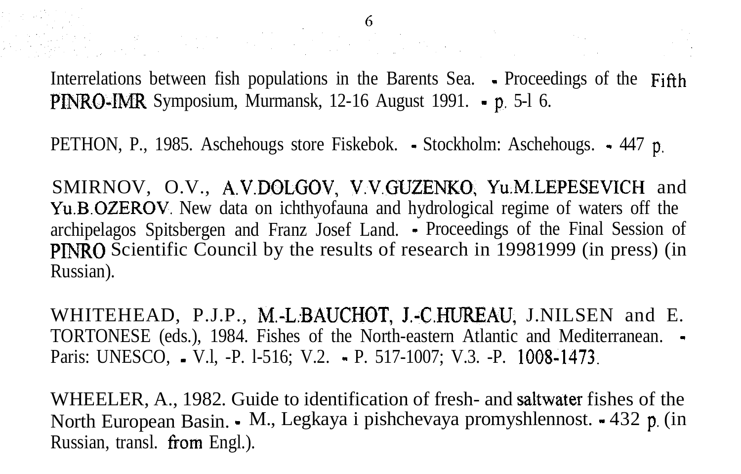Interrelations between fish populations in the Barents Sea. • Proceedings of the Fifth PINRO-IMR Symposium, Murmansk, 12-16 August 1991. - p. 5-l 6.

PETHON, P., 1985. Aschehougs store Fiskebok. - Stockholm: Aschehougs. - 447 p.

SMIRNOV, O.V., A.V.DOLGOV, V.V.GUZENKO, Yu.M.LEPESEVICH and Yu.B.OZEROV. New data on ichthyofauna and hydrological regime of waters off the archipelagos Spitsbergen and Franz Josef Land. - Proceedings of the Final Session of PINRO Scientific Council by the results of research in 19981999 (in press) (in Russian).

WHITEHEAD, P.J.P., M.-L.BAUCHOT, J.-C.HUREAU, J.NILSEN and E. TORTONESE (eds.), 1984. Fishes of the North-eastern Atlantic and Mediterranean. - Paris: UNESCO, • V.l, -P. 1-516; V.2. • P. 517-1007; V.3. -P. 1008-1473.

WHEELER, A., 1982. Guide to identification of fresh- and saitwater fishes of the North European Basin. - M., Legkaya i pishchevaya promyshlennost. - 432 p. (in Russian, transl. from Engl.).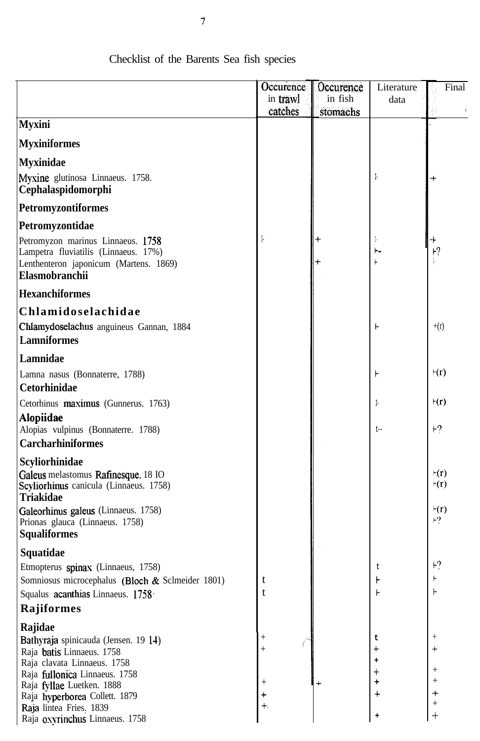|                                                                                                                                       | Occurence      | Occurence | Literature | Final                                     |
|---------------------------------------------------------------------------------------------------------------------------------------|----------------|-----------|------------|-------------------------------------------|
|                                                                                                                                       | in trawl       | in fish   | data       |                                           |
|                                                                                                                                       | catches        | stomachs  |            |                                           |
| <b>Myxini</b>                                                                                                                         |                |           |            |                                           |
| <b>Myxiniformes</b>                                                                                                                   |                |           |            |                                           |
| <b>Myxinidae</b>                                                                                                                      |                |           |            |                                           |
| Myxine glutinosa Linnaeus. 1758.<br>Cephalaspidomorphi                                                                                |                |           | ŀ          |                                           |
| <b>Petromyzontiformes</b>                                                                                                             |                |           |            |                                           |
| Petromyzontidae                                                                                                                       |                |           |            |                                           |
| Petromyzon marinus Linnaeus. 1758<br>Lampetra fluviatilis (Linnaeus. 17%)<br>Lenthenteron japonicum (Martens. 1869)<br>Elasmobranchii |                |           |            | ┾<br>$-2$                                 |
| <b>Hexanchiformes</b>                                                                                                                 |                |           |            |                                           |
| Chlamidoselachidae                                                                                                                    |                |           |            |                                           |
| Chlamydoselachus anguineus Gannan, 1884                                                                                               |                |           |            | $+(r)$                                    |
| <b>Lamniformes</b>                                                                                                                    |                |           |            |                                           |
| Lamnidae                                                                                                                              |                |           |            |                                           |
| Lamna nasus (Bonnaterre, 1788)                                                                                                        |                |           | ⊦          | $\mathbf{r}(\mathbf{r})$                  |
| Cetorhinidae                                                                                                                          |                |           |            |                                           |
| Cetorhinus maximus (Gunnerus. 1763)                                                                                                   |                |           | Ŀ          | $\mathbf{r}(\mathbf{r})$                  |
| <b>Alopiidae</b><br>Alopias vulpinus (Bonnaterre. 1788)                                                                               |                |           | $t -$      | $+2$                                      |
| <b>Carcharhiniformes</b>                                                                                                              |                |           |            |                                           |
| Scyliorhinidae                                                                                                                        |                |           |            |                                           |
| Galeus melastomus Rafinesque. 18 IO                                                                                                   |                |           |            | $\mathbf{r}(\mathbf{r})$<br>$\forall$ (r) |
| Scyliorhinus canicula (Linnaeus. 1758)<br><b>Triakidae</b>                                                                            |                |           |            |                                           |
| Galeorhinus galeus (Linnaeus. 1758)                                                                                                   |                |           |            | $\vdash(r)$                               |
| Prionas glauca (Linnaeus. 1758)                                                                                                       |                |           |            | ⊦?                                        |
| <b>Squaliformes</b>                                                                                                                   |                |           |            |                                           |
| Squatidae                                                                                                                             |                |           |            | Н?                                        |
| Etmopterus spinax (Linnaeus, 1758)<br>Somniosus microcephalus (Bloch & Sclmeider 1801)                                                | t              |           | t          |                                           |
| Squalus acanthias Linnaeus. 1758.                                                                                                     | t              |           |            |                                           |
| Rajiformes                                                                                                                            |                |           |            |                                           |
|                                                                                                                                       |                |           |            |                                           |
| Rajidae                                                                                                                               |                |           | t          |                                           |
| Bathyraja spinicauda (Jensen. 19 14)<br>Raja batis Linnaeus. 1758                                                                     | $^{+}$         |           |            |                                           |
| Raja clavata Linnaeus. 1758                                                                                                           |                |           |            |                                           |
| Raja fullonica Linnaeus. 1758                                                                                                         |                |           |            |                                           |
| Raja fyllae Luetken. 1888                                                                                                             | $^{+}$         |           | $\pmb{+}$  |                                           |
| Raja hyperborea Collett. 1879                                                                                                         | $\ddag$<br>$+$ |           |            |                                           |
| Raja lintea Fries, 1839<br>Raja oxyrinchus Linnaeus. 1758                                                                             |                |           | ÷          | $^{+}$                                    |

# Checklist of the Barents Sea fish species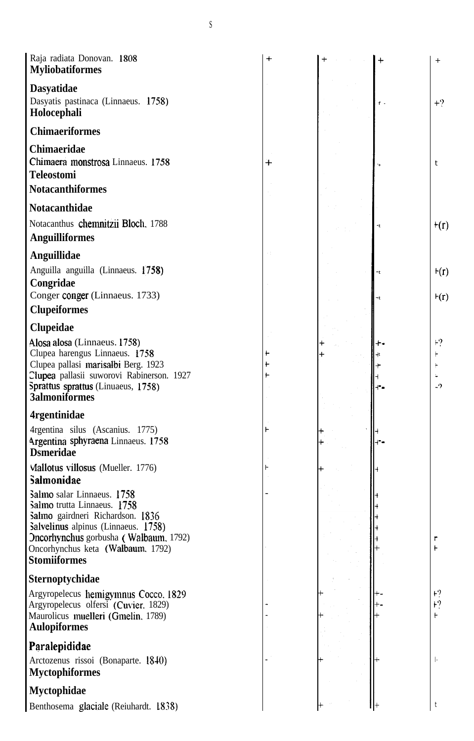| <b>Dasyatidae</b><br>Dasyatis pastinaca (Linnaeus. 1758)<br>$\mathbf{f}$ -<br>Holocephali<br><b>Chimaeriformes</b> | $+2$                      |
|--------------------------------------------------------------------------------------------------------------------|---------------------------|
|                                                                                                                    |                           |
|                                                                                                                    |                           |
|                                                                                                                    |                           |
| Chimaeridae                                                                                                        |                           |
| Chimaera monstrosa Linnaeus. 1758<br>┿<br>t                                                                        |                           |
| <b>Teleostomi</b>                                                                                                  |                           |
| <b>Notacanthiformes</b>                                                                                            |                           |
| <b>Notacanthidae</b>                                                                                               |                           |
| Notacanthus chemnitzii Bloch, 1788                                                                                 | $+(r)$                    |
| <b>Anguilliformes</b>                                                                                              |                           |
| Anguillidae                                                                                                        |                           |
| Anguilla anguilla (Linnaeus. 1758)                                                                                 | $+(r)$                    |
| Congridae                                                                                                          |                           |
| Conger conger (Linnaeus. 1733)                                                                                     | F(r)                      |
| <b>Clupeiformes</b>                                                                                                |                           |
| Clupeidae                                                                                                          |                           |
| Alosa alosa (Linnaeus. 1758)                                                                                       | $\mathsf{F}^{\mathbf{9}}$ |
| Clupea harengus Linnaeus. 1758                                                                                     |                           |
| Clupea pallasi marisalbi Berg. 1923<br>H                                                                           |                           |
| Clupea pallasii suworovi Rabinerson. 1927<br>Sprattus sprattus (Linuaeus, 1758)<br><b>3almoniformes</b>            | $-9$                      |
| <b>4rgentinidae</b>                                                                                                |                           |
| 4rgentina silus (Ascanius. 1775)                                                                                   |                           |
| Argentina sphyraena Linnaeus. 1758<br><b>D</b> smeridae                                                            |                           |
| Viallotus villosus (Mueller. 1776)<br>Salmonidae                                                                   |                           |
| Salmo salar Linnaeus. 1758                                                                                         |                           |
| Salmo trutta Linnaeus. 1758                                                                                        |                           |
| Salmo gairdneri Richardson. 1836<br>Salvelinus alpinus (Linnaeus. 1758)                                            |                           |
| Oncorhynchus gorbusha (Walbaum, 1792)<br>Г                                                                         |                           |
| Oncorhynchus keta (Walbaum, 1792)<br>Ł                                                                             |                           |
| <b>Stomiiformes</b>                                                                                                |                           |
| Sternoptychidae                                                                                                    |                           |
| $+2$<br>Argyropelecus hemigymnus Cocco, 1829                                                                       |                           |
| E<br>Argyropelecus olfersi (Cuvier, 1829)<br>F                                                                     |                           |
| Maurolicus muelleri (Gmelin, 1789)<br><b>Aulopiformes</b>                                                          |                           |
| Paralepididae                                                                                                      |                           |
| Arctozenus rissoi (Bonaparte. 1840)<br>ŀ                                                                           |                           |
| <b>Myctophiformes</b>                                                                                              |                           |
| <b>Myctophidae</b>                                                                                                 |                           |
| Benthosema glaciale (Reiuhardt. 1838)                                                                              |                           |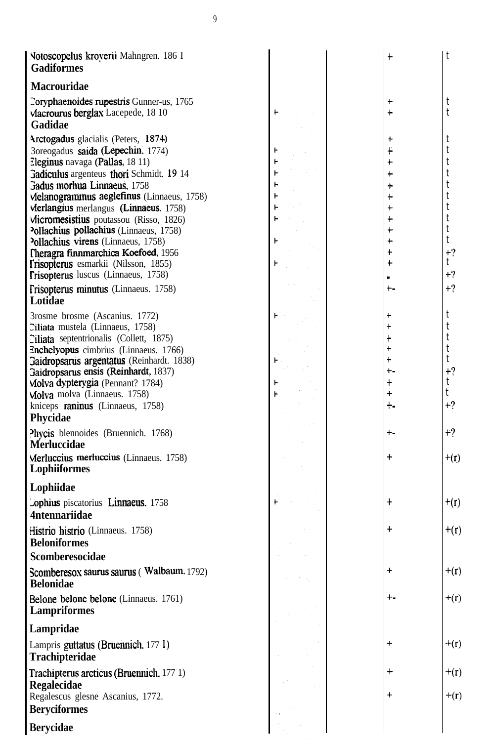| Notoscopelus kroverii Mahngren. 186 I                                              | $\ddag$              | t      |
|------------------------------------------------------------------------------------|----------------------|--------|
| <b>Gadiformes</b>                                                                  |                      |        |
| <b>Macrouridae</b>                                                                 |                      |        |
| Coryphaenoides rupestris Gunner-us, 1765                                           | $\ddag$              | t      |
| Macrourus berglax Lacepede, 18 10                                                  | $\ddag$              | t      |
| Gadidae                                                                            |                      |        |
| Arctogadus glacialis (Peters, 1874)                                                | +                    | t      |
| 3oreogadus saida (Lepechin, 1774)                                                  | $\ddag$              | t      |
| Eleginus navaga (Pallas, 18 11)                                                    | $\ddag$              | t      |
| Gadiculus argenteus thori Schmidt. 19 14                                           | $\ddag$              | t      |
| Gadus morhua Linnaeus, 1758                                                        | $\ddag$              | t      |
| Melanogrammus aeglefinus (Linnaeus, 1758)                                          | ┿<br>$\ddag$         | t<br>t |
| Merlangius merlangus (Linnaeus, 1758)<br>Micromesistius poutassou (Risso, 1826)    | $\textcolor{red}{+}$ | t      |
| Pollachius pollachius (Linnaeus, 1758)                                             | ÷                    | t      |
| Pollachius virens (Linnaeus, 1758)                                                 | ┿                    | t      |
| Theragra finnmarchica Koefoed, 1956                                                | t                    | $+2$   |
| Trisopterus esmarkii (Nilsson, 1855)                                               |                      | t      |
| <b>Trisopterus</b> luscus (Linnaeus, 1758)                                         |                      | $+?$   |
| Frisopterus minutus (Linnaeus. 1758)                                               | $+ -$                | $+?$   |
| Lotidae                                                                            |                      |        |
| 3rosme brosme (Ascanius. 1772)                                                     | t                    | t      |
| Ciliata mustela (Linnaeus, 1758)                                                   | t                    | t      |
| Ciliata septentrionalis (Collett, 1875)                                            | t                    | t      |
| Enchelyopus cimbrius (Linnaeus. 1766)<br>Gaidropsarus argentatus (Reinhardt. 1838) | t<br>$\ddagger$      | t<br>t |
| Gaidropsarus ensis (Reinhardt, 1837)                                               | +-                   | $+2$   |
| Molva dypterygia (Pennant? 1784)                                                   | t                    | t      |
| Molva molva (Linnaeus. 1758)                                                       | $\ddot{}$            | t      |
| kniceps raninus (Linnaeus, 1758)                                                   | +٠                   | $+?$   |
| Phycidae                                                                           |                      |        |
| Phycis blennoides (Bruennich. 1768)                                                | ┾╍                   | $+?$   |
| <b>Merluccidae</b>                                                                 |                      |        |
| Merluccius merluccius (Linnaeus. 1758)                                             | $\bm{+}$             | $+(r)$ |
| Lophiiformes                                                                       |                      |        |
| Lophiidae                                                                          |                      |        |
| Lophius piscatorius Linnaeus. 1758                                                 | $\ddagger$           | $+(r)$ |
| <b>4ntennariidae</b>                                                               |                      |        |
| Histrio histrio (Linnaeus. 1758)                                                   | $\ddot{}$            | $+(r)$ |
| <b>Beloniformes</b>                                                                |                      |        |
| Scomberesocidae                                                                    |                      |        |
| Scomberesox saurus saurus (Walbaum, 1792)                                          | $\ddot{}$            | $+(r)$ |
| <b>Belonidae</b>                                                                   |                      |        |
| Belone belone belone (Linnaeus. 1761)                                              | +-                   | $+(r)$ |
| <b>Lampriformes</b>                                                                |                      |        |
| Lampridae                                                                          |                      |        |
| Lampris guttatus (Bruennich, 177 l)                                                | $\ddot{}$            | $+(r)$ |
| Trachipteridae                                                                     |                      |        |
| Trachipterus arcticus (Bruennich, 177 1)                                           | $\div$               | $+(r)$ |
| Regalecidae                                                                        |                      |        |
| Regalescus glesne Ascanius, 1772.                                                  | $\ddag$              | $+(r)$ |
| <b>Beryciformes</b>                                                                |                      |        |
| <b>Berycidae</b>                                                                   |                      |        |
|                                                                                    |                      |        |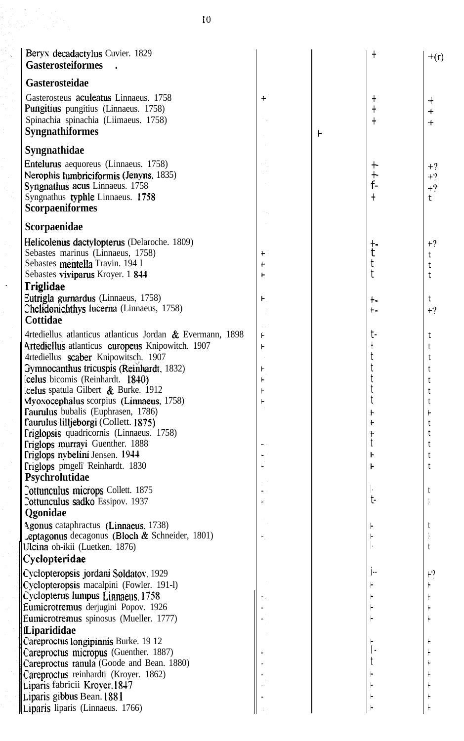| Beryx decadactylus Cuvier. 1829<br><b>Gasterosteiformes</b>                                                                                                                                                                                                                                  |                  |            |                                           | $+(r)$                                                           |
|----------------------------------------------------------------------------------------------------------------------------------------------------------------------------------------------------------------------------------------------------------------------------------------------|------------------|------------|-------------------------------------------|------------------------------------------------------------------|
| Gasterosteidae                                                                                                                                                                                                                                                                               |                  |            |                                           |                                                                  |
| Gasterosteus aculeatus Linnaeus. 1758<br>Pungitius pungitius (Linnaeus. 1758)<br>Spinachia spinachia (Liimaeus. 1758)<br><b>Syngnathiformes</b>                                                                                                                                              | $\ddot{}$        | $\ddagger$ | $\ddagger$                                | $\,{}^+$<br>$+$<br>$+$                                           |
| Syngnathidae                                                                                                                                                                                                                                                                                 |                  |            |                                           |                                                                  |
| Entelurus aequoreus (Linnaeus. 1758)<br>Nerophis lumbriciformis (Jenyns, 1835)<br>Syngnathus acus Linnaeus. 1758<br>Syngnathus typhle Linnaeus. 1758<br><b>Scorpaeniformes</b>                                                                                                               |                  |            | $\mathrm{+}$<br>$+$ -<br>$f -$<br>$\ddag$ | $+?$<br>$+2$<br>$+$ ?<br>t                                       |
| Scorpaenidae                                                                                                                                                                                                                                                                                 |                  |            |                                           |                                                                  |
| Helicolenus dactylopterus (Delaroche. 1809)<br>Sebastes marinus (Linnaeus, 1758)<br>Sebastes mentella Travin. 194 I<br>Sebastes viviparus Kroyer. 1 844<br>Triglidae<br>Eutrigla gurnardus (Linnaeus, 1758)<br>Chelidonichthys lucerna (Linnaeus, 1758)                                      | t<br>F<br>H<br>⊦ |            | $+ -$<br>t<br>t<br>t<br>+۔<br>b-          | $+2$<br>t<br>t<br>$\ddot{\mathbf{t}}$<br>t<br>$+2$               |
| Cottidae                                                                                                                                                                                                                                                                                     |                  |            |                                           |                                                                  |
| 4rtediellus atlanticus atlanticus Jordan & Evermann, 1898<br>Artediellus atlanticus europeus Knipowitch. 1907<br>4rtediellus scaber Knipowitsch, 1907<br>Gymnocanthus tricuspis (Reinhardt, 1832)                                                                                            | ۴<br>۲           |            | $t-$<br>t<br>t                            | t<br>t<br>t<br>$^\mathrm{t}$                                     |
| lcelus bicomis (Reinhardt. 1840)<br><b>Celus</b> spatula Gilbert & Burke. 1912                                                                                                                                                                                                               |                  |            | t<br>t                                    | t                                                                |
| Myoxocephalus scorpius (Linnaeus, 1758)<br>Taurulus bubalis (Euphrasen, 1786)<br>Taurulus lilljeborgi (Collett. 1875)<br>Triglopsis quadricornis (Linnaeus. 1758)<br>Triglops murrayi Guenther. 1888<br>Triglops nybelini Jensen. 1944<br>Triglops pingeli Reinhardt. 1830<br>Psychrolutidae | H                |            | t<br>۲                                    | $^\mathrm{t}$<br>$^\mathrm{t}$<br>$\vdash$<br>$^\mathrm{t}$<br>t |
| Cottunculus microps Collett. 1875                                                                                                                                                                                                                                                            |                  |            |                                           |                                                                  |
| Cottunculus sadko Essipov. 1937<br>Qgonidae                                                                                                                                                                                                                                                  |                  |            | $t-$                                      |                                                                  |
| Agonus cataphractus (Linnaeus, 1738)<br><b>Leptagonus</b> decagonus (Bloch $\&$ Schneider, 1801)<br>Ulcina oh-ikii (Luetken. 1876)<br>Cyclopteridae                                                                                                                                          |                  |            |                                           | τ                                                                |
| Cyclopteropsis jordani Soldatov, 1929                                                                                                                                                                                                                                                        |                  |            |                                           | ۲?                                                               |
| Cyclopteropsis macalpini (Fowler. 191-l)<br>Cyclopterus lumpus Linnaeus. 1758<br>Eumicrotremus derjugini Popov. 1926                                                                                                                                                                         |                  |            |                                           |                                                                  |
| Eumicrotremus spinosus (Mueller. 1777)                                                                                                                                                                                                                                                       |                  |            |                                           |                                                                  |
| Liparididae<br>Careproctus longipinnis Burke. 19 12<br>Careproctus micropus (Guenther. 1887)<br>Careproctus ranula (Goode and Bean. 1880)<br>Careproctus reinhardti (Kroyer. 1862)<br>Liparis fabricii Kroyer. 1847                                                                          |                  |            |                                           |                                                                  |
| Liparis gibbus Bean. 1881<br>Liparis liparis (Linnaeus. 1766)                                                                                                                                                                                                                                |                  |            |                                           |                                                                  |

Ŷ,

 $\ddot{\phantom{a}}$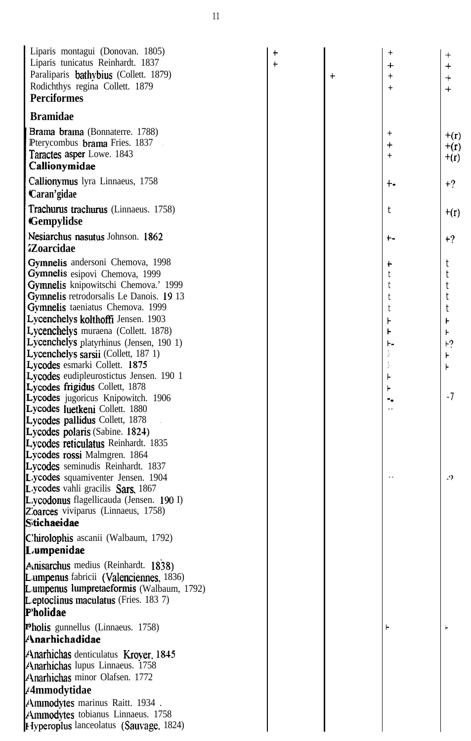| Liparis montagui (Donovan. 1805)<br>Liparis tunicatus Reinhardt. 1837<br>Paraliparis bathybius (Collett. 1879)<br>Rodichthys regina Collett. 1879<br><b>Perciformes</b> | $\ddagger$<br>$\ddagger$ | $\ddot{}$ | $\ddot{}$<br>$^{+}$<br>$^{+}$ | $^+$<br>$\ddot{}$<br>$\qquad \qquad +$<br>$+$ |
|-------------------------------------------------------------------------------------------------------------------------------------------------------------------------|--------------------------|-----------|-------------------------------|-----------------------------------------------|
| <b>Bramidae</b>                                                                                                                                                         |                          |           |                               |                                               |
| Brama brama (Bonnaterre. 1788)<br>Pterycombus brama Fries. 1837<br>Taractes asper Lowe. 1843<br>Callionymidae                                                           |                          |           | $\,^+$<br>$\ddot{}$<br>$^{+}$ | $+(r)$<br>$+(r)$<br>$+(r)$                    |
| Callionymus lyra Linnaeus, 1758<br>Caran'gidae                                                                                                                          |                          |           | +-                            | $+2$                                          |
| Trachurus trachurus (Linnaeus. 1758)<br><b>Gempylidse</b>                                                                                                               |                          |           | t                             | $+(r)$                                        |
| Nesiarchus nasutus Johnson. 1862                                                                                                                                        |                          |           | t –                           | $+?$                                          |
| <i><b>Zoarcidae</b></i>                                                                                                                                                 |                          |           |                               |                                               |
| Gymnelis andersoni Chemova, 1998<br>Gymnelis esipovi Chemova, 1999                                                                                                      |                          |           | ÷                             | t                                             |
| Gymnelis knipowitschi Chemova.' 1999<br>Gymnelis retrodorsalis Le Danois. 19 13                                                                                         |                          |           |                               | t                                             |
| Gymnelis taeniatus Chemova. 1999                                                                                                                                        |                          |           | t                             | t<br>t                                        |
| Lycenchelys kolthoffi Jensen. 1903                                                                                                                                      |                          |           | ⊦                             | ۲                                             |
| Lycenchelys muraena (Collett. 1878)                                                                                                                                     |                          |           | ۲                             |                                               |
| Lycenchelys platyrhinus (Jensen, 190 1)                                                                                                                                 |                          |           | ۲.                            | ⊦?                                            |
| Lycenchelys sarsii (Collett, 187 1)                                                                                                                                     |                          |           |                               |                                               |
| Lycodes esmarki Collett. 1875<br>Lycodes eudipleurostictus Jensen. 190 1                                                                                                |                          |           |                               |                                               |
| Lycodes frigidus Collett, 1878                                                                                                                                          |                          |           |                               |                                               |
| Lycodes jugoricus Knipowitch. 1906                                                                                                                                      |                          |           |                               | $-7$                                          |
| Lycodes luetkeni Collett. 1880                                                                                                                                          |                          |           |                               |                                               |
| Lycodes pallidus Collett, 1878<br>Lycodes polaris (Sabine. 1824)                                                                                                        |                          |           |                               |                                               |
| Lycodes reticulatus Reinhardt. 1835                                                                                                                                     |                          |           |                               |                                               |
| Lycodes rossi Malmgren. 1864                                                                                                                                            |                          |           |                               |                                               |
| Lycodes seminudis Reinhardt. 1837                                                                                                                                       |                          |           |                               |                                               |
| Lycodes squamiventer Jensen. 1904                                                                                                                                       |                          |           |                               | .9                                            |
| Lycodes vahli gracilis Sars. 1867                                                                                                                                       |                          |           |                               |                                               |
| L. ycodonus flagellicauda (Jensen. 190 I)<br>Zoarces viviparus (Linnaeus, 1758)                                                                                         |                          |           |                               |                                               |
| <b>Stichaeidae</b>                                                                                                                                                      |                          |           |                               |                                               |
| C'hirolophis ascanii (Walbaum, 1792)                                                                                                                                    |                          |           |                               |                                               |
| Lumpenidae                                                                                                                                                              |                          |           |                               |                                               |
| Amisarchus medius (Reinhardt. 1838)                                                                                                                                     |                          |           |                               |                                               |
| Lumpenus fabricii (Valenciennes, 1836)                                                                                                                                  |                          |           |                               |                                               |
| Lumpenus lumpretaeformis (Walbaum, 1792)                                                                                                                                |                          |           |                               |                                               |
| Leptoclinus maculatus (Fries. 1837)                                                                                                                                     |                          |           |                               |                                               |
| P'holidae                                                                                                                                                               |                          |           |                               |                                               |
| Pholis gunnellus (Linnaeus. 1758)<br><b>Anarhichadidae</b>                                                                                                              |                          |           |                               |                                               |
| Anarhichas denticulatus Krover, 1845                                                                                                                                    |                          |           |                               |                                               |
| <b>Anarhichas</b> lupus Linnaeus. 1758                                                                                                                                  |                          |           |                               |                                               |
| Anarhichas minor Olafsen. 1772                                                                                                                                          |                          |           |                               |                                               |
| ∕4mmodytidae                                                                                                                                                            |                          |           |                               |                                               |
| Ammodytes marinus Raitt. 1934.<br>Ammodytes tobianus Linnaeus. 1758<br><b>Hyperoplus</b> lanceolatus (Sauvage, 1824)                                                    |                          |           |                               |                                               |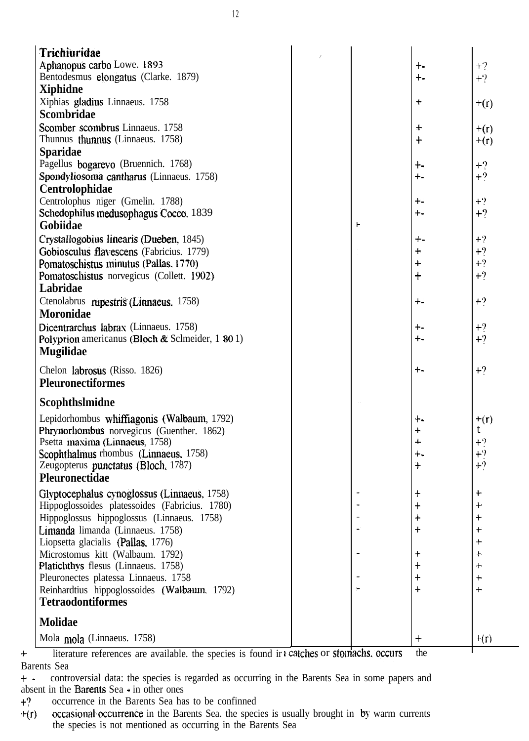| <b>Trichiuridae</b>                                                      |  |               |                      |
|--------------------------------------------------------------------------|--|---------------|----------------------|
| Aphanopus carbo Lowe. 1893                                               |  | $+ -$         | $+?$                 |
| Bentodesmus elongatus (Clarke. 1879)                                     |  | $+ -$         | $+2$                 |
| Xiphidne                                                                 |  |               |                      |
| Xiphias gladius Linnaeus. 1758                                           |  | $\ddag$       | $+(r)$               |
| Scombridae                                                               |  |               |                      |
| Scomber scombrus Linnaeus. 1758                                          |  | $\pm$         |                      |
| Thunnus thunnus (Linnaeus. 1758)                                         |  | $\ddag$       | $+(r)$<br>$+(r)$     |
| <b>Sparidae</b>                                                          |  |               |                      |
| Pagellus bogarevo (Bruennich. 1768)                                      |  | +-            | $+2$                 |
| Spondyliosoma cantharus (Linnaeus. 1758)                                 |  | $+ -$         | $+2$                 |
| Centrolophidae                                                           |  |               |                      |
| Centrolophus niger (Gmelin. 1788)                                        |  | +-            | $+2$                 |
| Schedophilus medusophagus Cocco, 1839                                    |  | $+ -$         | $+2$                 |
| Gobiidae                                                                 |  |               |                      |
| Crystallogobius linearis (Dueben, 1845)                                  |  | +-            | $+?$                 |
| Gobiosculus flavescens (Fabricius. 1779)                                 |  | $\ddot{}$     | $+?$                 |
| Pomatoschistus minutus (Pallas, 1770)                                    |  | $+$           | $+?$                 |
| Pomatoschistus norvegicus (Collett. 1902)                                |  | $\ddag$       | $+2$                 |
| Labridae                                                                 |  |               |                      |
| Ctenolabrus rupestris (Linnaeus, 1758)                                   |  | ┿╍            | $+2$                 |
| <b>Moronidae</b>                                                         |  |               |                      |
| Dicentrarchus labrax (Linnaeus. 1758)                                    |  |               |                      |
| Polyprion americanus (Bloch & Sclmeider, 1 80 1)                         |  | $+ -$<br>+-   | $+2$<br>$+2$         |
| <b>Mugilidae</b>                                                         |  |               |                      |
|                                                                          |  |               |                      |
| Chelon labrosus (Risso. 1826)                                            |  | $+ -$         | $+2$                 |
| <b>Pleuronectiformes</b>                                                 |  |               |                      |
| Scophthslmidne                                                           |  |               |                      |
|                                                                          |  |               |                      |
| Lepidorhombus whiffiagonis (Walbaum, 1792)                               |  | +.            | $+(r)$               |
| Phrynorhombus norvegicus (Guenther. 1862)                                |  | $\ddag$       | t.                   |
| Psetta maxima (Linnaeus, 1758)                                           |  | 4             | $+2$                 |
| Scophthalmus rhombus (Linnaeus, 1758)                                    |  | +-            | $+2$<br>$+2$         |
| Zeugopterus punctatus (Bloch, 1787)<br>Pleuronectidae                    |  | $\bm{+}$      |                      |
|                                                                          |  |               |                      |
| Glyptocephalus cynoglossus (Linnaeus, 1758)                              |  | $^\mathrm{+}$ | $\ddot{}$            |
| Hippoglossoides platessoides (Fabricius. 1780)                           |  |               |                      |
| Hippoglossus hippoglossus (Linnaeus. 1758)                               |  |               | $\ddot{}$            |
| Limanda limanda (Linnaeus. 1758)                                         |  |               | t                    |
| Liopsetta glacialis (Pallas, 1776)                                       |  |               | $\textcolor{red}{+}$ |
| Microstomus kitt (Walbaum. 1792)                                         |  |               | $\ddag$              |
| Platichthys flesus (Linnaeus. 1758)                                      |  |               | $\ddag$<br>$\pm$     |
| Pleuronectes platessa Linnaeus. 1758                                     |  |               | $+$                  |
| Reinhardtius hippoglossoides (Walbaum. 1792)<br><b>Tetraodontiformes</b> |  |               |                      |
|                                                                          |  |               |                      |
| <b>Molidae</b>                                                           |  |               |                      |
| Mola mola (Linnaeus. 1758)                                               |  | $+$           | $+(r)$               |
|                                                                          |  |               |                      |

+ literature references are available. the species is found in  $\iota$  catches or sto. Barents Sea the

f- controversial data: the species is regarded as occurring in the Barents Sea in some papers and absent in the Barents Sea  $\cdot$  in other ones<br>+? occurrence in the Barents Sea ha

occurrence in the Barents Sea has to be confinned

 $+(r)$  occasional occurrence in the Barents Sea. the species is usually brought in by warm currents the species is not mentioned as occurring in the Barents Sea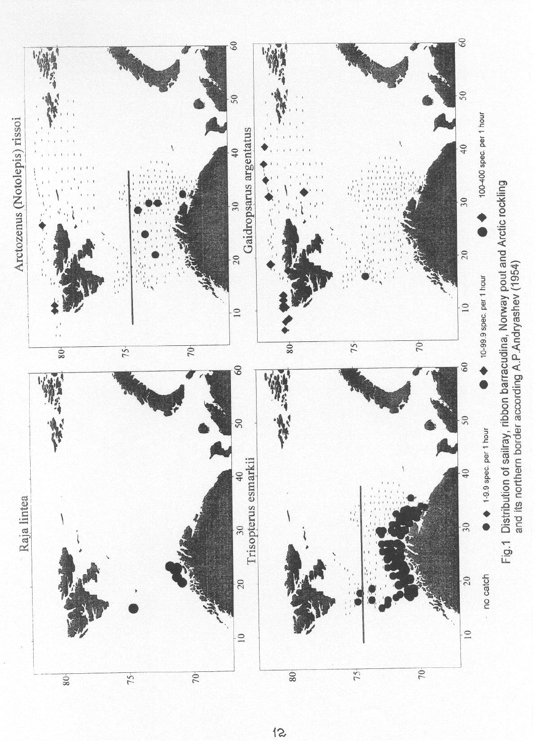